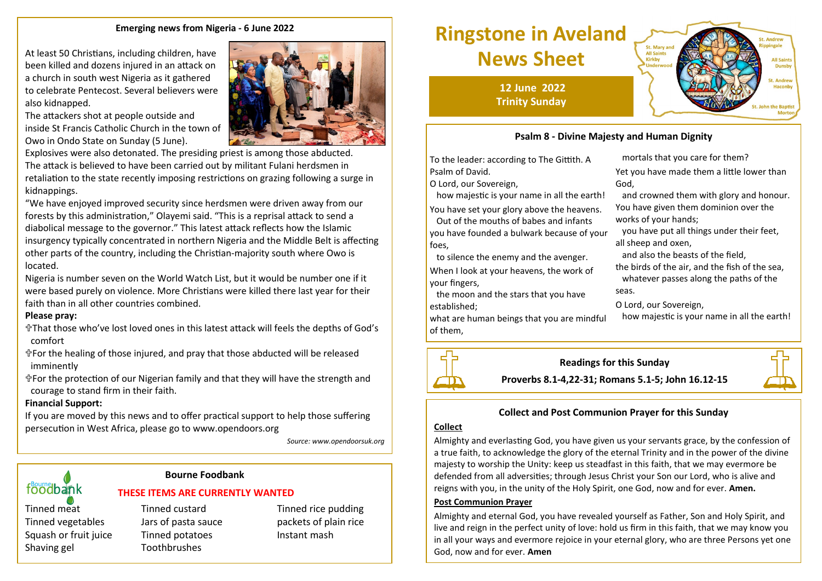#### **Emerging news from Nigeria - 6 June 2022**

At least 50 Christians, including children, have been killed and dozens injured in an attack on a church in south west Nigeria as it gathered to celebrate Pentecost. Several believers were also kidnapped.

The attackers shot at people outside and inside St Francis Catholic Church in the town of Owo in Ondo State on Sunday (5 June).



Explosives were also detonated. The presiding priest is among those abducted. The attack is believed to have been carried out by militant Fulani herdsmen in retaliation to the state recently imposing restrictions on grazing following a surge in kidnappings.

"We have enjoyed improved security since herdsmen were driven away from our forests by this administration," Olayemi said. "This is a reprisal attack to send a diabolical message to the governor." This latest attack reflects how the Islamic insurgency typically concentrated in northern Nigeria and the Middle Belt is affecting other parts of the country, including the Christian-majority south where Owo is located.

Nigeria is number seven on the World Watch List, but it would be number one if it were based purely on violence. More Christians were killed there last year for their faith than in all other countries combined.

#### **Please pray:**

That those who've lost loved ones in this latest attack will feels the depths of God's comfort

For the healing of those injured, and pray that those abducted will be released imminently

For the protection of our Nigerian family and that they will have the strength and courage to stand firm in their faith.

#### **Financial Support:**

If you are moved by this news and to offer practical support to help those suffering persecution in West Africa, please go to www.opendoors.org

*Source: www.opendoorsuk.org*

# foodbank

#### **Bourne Foodbank**

**THESE ITEMS ARE CURRENTLY WANTED**

Tinned vegetables Jars of pasta sauce packets of plain rice Squash or fruit juice Tinned potatoes Instant mash Shaving gel Toothbrushes

Tinned meat Tinned custard Tinned Tinned rice pudding

## **Ringstone in Aveland News Sheet**

**12 June 2022 Trinity Sunday**

### **Psalm 8 - Divine Majesty and Human Dignity**

To the leader: according to The Gittith. A Psalm of David.

O Lord, our Sovereign,

how majestic is your name in all the earth!

You have set your glory above the heavens. Out of the mouths of babes and infants you have founded a bulwark because of your foes,

 to silence the enemy and the avenger. When I look at your heavens, the work of your fingers,

 the moon and the stars that you have established;

what are human beings that you are mindful of them,

 mortals that you care for them? Yet you have made them a little lower than God,

 and crowned them with glory and honour. You have given them dominion over the works of your hands;

 you have put all things under their feet, all sheep and oxen,

and also the beasts of the field,

the birds of the air, and the fish of the sea, whatever passes along the paths of the seas.

O Lord, our Sovereign,

how majestic is your name in all the earth!



#### **Collect and Post Communion Prayer for this Sunday**

#### **Collect**

Almighty and everlasting God, you have given us your servants grace, by the confession of a true faith, to acknowledge the glory of the eternal Trinity and in the power of the divine majesty to worship the Unity: keep us steadfast in this faith, that we may evermore be defended from all adversities; through Jesus Christ your Son our Lord, who is alive and reigns with you, in the unity of the Holy Spirit, one God, now and for ever. **Amen.**

#### **Post Communion Prayer**

Almighty and eternal God, you have revealed yourself as Father, Son and Holy Spirit, and live and reign in the perfect unity of love: hold us firm in this faith, that we may know you in all your ways and evermore rejoice in your eternal glory, who are three Persons yet one God, now and for ever. **Amen**